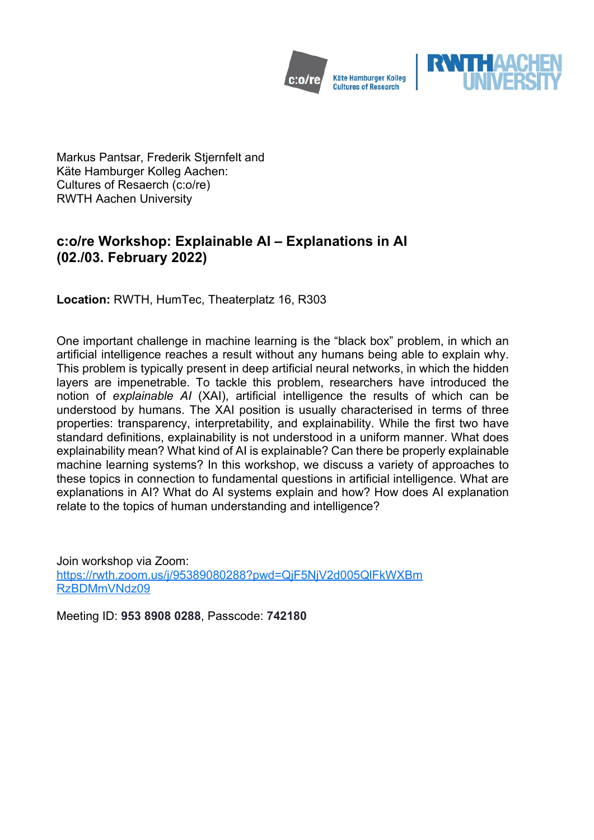



Markus Pantsar, Frederik Stjernfelt and Käte Hamburger Kolleg Aachen: Cultures of Resaerch (c:o/re) RWTH Aachen University

# **c:o/re Workshop: Explainable AI – Explanations in AI (02./03. February 2022)**

**Location:** RWTH, HumTec, Theaterplatz 16, R303

One important challenge in machine learning is the "black box" problem, in which an artificial intelligence reaches a result without any humans being able to explain why. This problem is typically present in deep artificial neural networks, in which the hidden layers are impenetrable. To tackle this problem, researchers have introduced the notion of *explainable AI* (XAI), artificial intelligence the results of which can be understood by humans. The XAI position is usually characterised in terms of three properties: transparency, interpretability, and explainability. While the first two have standard definitions, explainability is not understood in a uniform manner. What does explainability mean? What kind of AI is explainable? Can there be properly explainable machine learning systems? In this workshop, we discuss a variety of approaches to these topics in connection to fundamental questions in artificial intelligence. What are explanations in AI? What do AI systems explain and how? How does AI explanation relate to the topics of human understanding and intelligence?

Join workshop via Zoom: [https://rwth.zoom.us/j/95389080288?pwd=QjF5NjV2d005QlFkWXBm](https://rwth.zoom.us/j/95389080288?pwd=QjF5NjV2d005QlFkWXBmRzBDMmVNdz09) [RzBDMmVNdz09](https://rwth.zoom.us/j/95389080288?pwd=QjF5NjV2d005QlFkWXBmRzBDMmVNdz09)

Meeting ID: **953 8908 0288**, Passcode: **742180**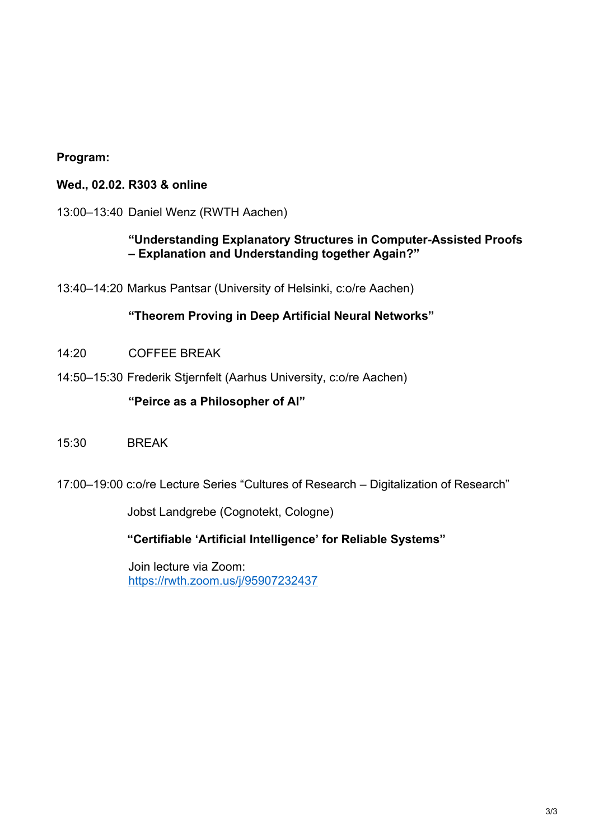#### **Program:**

#### **Wed., 02.02. R303 & online**

13:00–13:40 Daniel Wenz (RWTH Aachen)

### **"Understanding Explanatory Structures in Computer-Assisted Proofs – Explanation and Understanding together Again?"**

13:40–14:20 Markus Pantsar (University of Helsinki, c:o/re Aachen)

#### **"Theorem Proving in Deep Artificial Neural Networks"**

- 14:20 COFFEE BREAK
- 14:50–15:30 Frederik Stjernfelt (Aarhus University, c:o/re Aachen)

#### **"Peirce as a Philosopher of AI"**

- 15:30 BREAK
- 17:00–19:00 c:o/re Lecture Series "Cultures of Research Digitalization of Research"

Jobst Landgrebe (Cognotekt, Cologne)

**"Certifiable 'Artificial Intelligence' for Reliable Systems"**

Join lecture via Zoom: <https://rwth.zoom.us/j/95907232437>